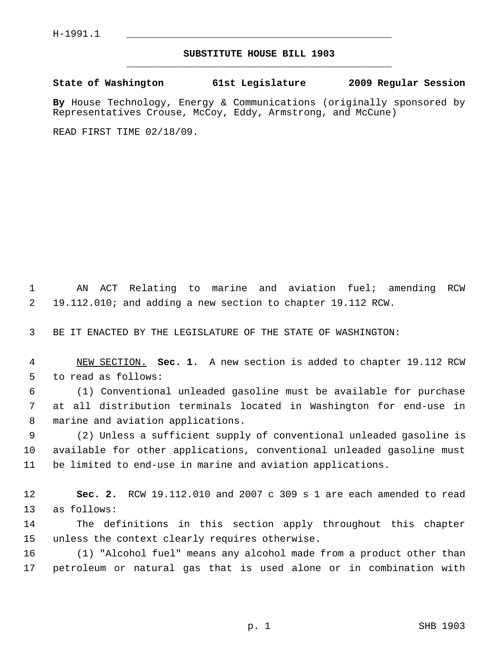## **SUBSTITUTE HOUSE BILL 1903** \_\_\_\_\_\_\_\_\_\_\_\_\_\_\_\_\_\_\_\_\_\_\_\_\_\_\_\_\_\_\_\_\_\_\_\_\_\_\_\_\_\_\_\_\_

## **State of Washington 61st Legislature 2009 Regular Session**

**By** House Technology, Energy & Communications (originally sponsored by Representatives Crouse, McCoy, Eddy, Armstrong, and McCune)

READ FIRST TIME 02/18/09.

 1 AN ACT Relating to marine and aviation fuel; amending RCW 2 19.112.010; and adding a new section to chapter 19.112 RCW.

3 BE IT ENACTED BY THE LEGISLATURE OF THE STATE OF WASHINGTON:

 4 NEW SECTION. **Sec. 1.** A new section is added to chapter 19.112 RCW 5 to read as follows:

 6 (1) Conventional unleaded gasoline must be available for purchase 7 at all distribution terminals located in Washington for end-use in 8 marine and aviation applications.

 9 (2) Unless a sufficient supply of conventional unleaded gasoline is 10 available for other applications, conventional unleaded gasoline must 11 be limited to end-use in marine and aviation applications.

12 **Sec. 2.** RCW 19.112.010 and 2007 c 309 s 1 are each amended to read 13 as follows:

14 The definitions in this section apply throughout this chapter 15 unless the context clearly requires otherwise.

16 (1) "Alcohol fuel" means any alcohol made from a product other than 17 petroleum or natural gas that is used alone or in combination with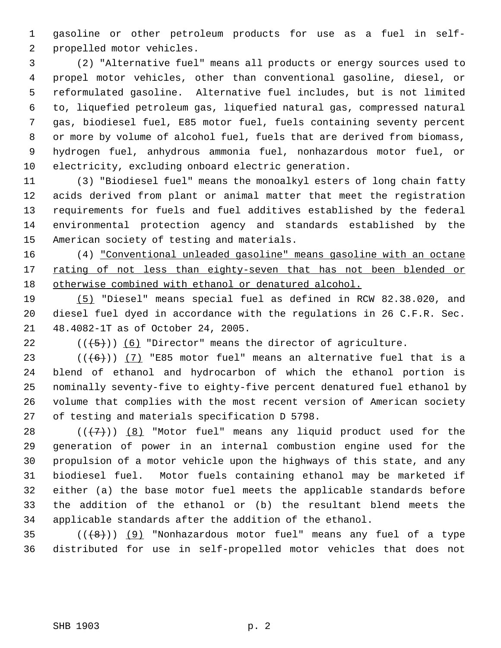1 gasoline or other petroleum products for use as a fuel in self- 2 propelled motor vehicles.

 3 (2) "Alternative fuel" means all products or energy sources used to 4 propel motor vehicles, other than conventional gasoline, diesel, or 5 reformulated gasoline. Alternative fuel includes, but is not limited 6 to, liquefied petroleum gas, liquefied natural gas, compressed natural 7 gas, biodiesel fuel, E85 motor fuel, fuels containing seventy percent 8 or more by volume of alcohol fuel, fuels that are derived from biomass, 9 hydrogen fuel, anhydrous ammonia fuel, nonhazardous motor fuel, or 10 electricity, excluding onboard electric generation.

11 (3) "Biodiesel fuel" means the monoalkyl esters of long chain fatty 12 acids derived from plant or animal matter that meet the registration 13 requirements for fuels and fuel additives established by the federal 14 environmental protection agency and standards established by the 15 American society of testing and materials.

16 (4) "Conventional unleaded gasoline" means gasoline with an octane 17 rating of not less than eighty-seven that has not been blended or 18 otherwise combined with ethanol or denatured alcohol.

19 (5) "Diesel" means special fuel as defined in RCW 82.38.020, and 20 diesel fuel dyed in accordance with the regulations in 26 C.F.R. Sec. 21 48.4082-1T as of October 24, 2005.

22  $((+5))$  (6) "Director" means the director of agriculture.

23 ( $(\overline{6})$ ) (7) "E85 motor fuel" means an alternative fuel that is a 24 blend of ethanol and hydrocarbon of which the ethanol portion is 25 nominally seventy-five to eighty-five percent denatured fuel ethanol by 26 volume that complies with the most recent version of American society 27 of testing and materials specification D 5798.

28  $((+7))$   $(8)$  "Motor fuel" means any liquid product used for the 29 generation of power in an internal combustion engine used for the 30 propulsion of a motor vehicle upon the highways of this state, and any 31 biodiesel fuel. Motor fuels containing ethanol may be marketed if 32 either (a) the base motor fuel meets the applicable standards before 33 the addition of the ethanol or (b) the resultant blend meets the 34 applicable standards after the addition of the ethanol.

 $35$  ( $(\overline{6})$ ) (9) "Nonhazardous motor fuel" means any fuel of a type 36 distributed for use in self-propelled motor vehicles that does not